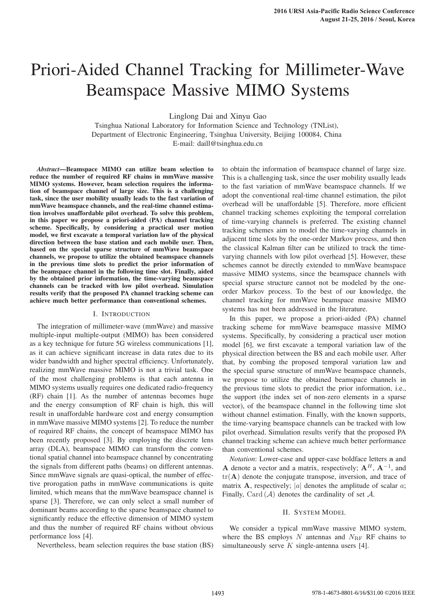# Priori-Aided Channel Tracking for Millimeter-Wave Beamspace Massive MIMO Systems

Linglong Dai and Xinyu Gao  $\frac{m}{\epsilon}$  Dar and  $\frac{m}{\epsilon}$ 

n Singinua Department of Electronic Engineering, Tsinghua University, Beijing 100084, China Tsinghua National Laboratory for Information Science and Technology (TNList), E-mail: daill@tsinghua.edu.cn

Abstract—Beamspace MIMO can utilize beam selection to reduce the number of required RF chains in mmWave massive MIMO systems. However, beam selection requires the information of beamspace channel of large size. This is a challenging task, since the user mobility usually leads to the fast variation of mmWave beamspace channels, and the real-time channel estimation involves unaffordable pilot overhead. To solve this problem, in this paper we propose a priori-aided (PA) channel tracking **layer are measured well.** Specifically, by considering a practical user motion *Keywords* FMCW; rain radiation and each mobile user. Then, heard an the process groups of more station and each mobile user. pased on the special sparse structure of limitwave beamspace<br>channels, we propose to utilize the obtained beamspace channels the beamspace channel in the following time slot. Finally, aided by the obtained prior information, the time-varying beamspace<br>channels can be tracked with low pilot overhead. Simulation results verify that the proposed PA channel tracking scheme can sources verify that the proposed its enannel tracing sensite can achieve much better performance than conventional schemes. model, we first excavate a temporal variation law of the physical based on the special sparse structure of mmWave beamspace in the previous time slots to predict the prior information of by the obtained prior information, the time-varying beamspace

#### I. INTRODUCTION

The integration of millimeter-wave (mmWave) and massive  $\frac{1}{2}$ lower altitudes than the specific altitude of  $\frac{1}{2}$  and  $\frac{1}{2}$  and  $\frac{1}{2}$  and  $\frac{1}{2}$  and  $\frac{1}{2}$  and  $\frac{1}{2}$  and  $\frac{1}{2}$  and  $\frac{1}{2}$  and  $\frac{1}{2}$  and  $\frac{1}{2}$  and  $\frac{1}{2}$  and  $\frac{1}{2}$  an multiple-input multiple-output (MIMO) has been considered. as it can achieve significant increase in data rates due to its wider bandwidth and higher spectral efficiency. Unfortunately, matrix statement and ingiter specifical entertainty; entertainment, realizing mmWave massive MIMO is not a trivial task. One contains minimave massive minimo is not a triviar task. One of the most challenging problems is that each antenna in  $\Delta M$ MIMO systems usually requires one dedicated radio-frequency  $(RF)$  chain [1]. As the number of antennas becomes huge result in unaffordable hardware cost and energy consumption in mmWave massive MIMO systems [2]. To reduce the number  $\frac{1}{2}$ . To fedder the frequency modulated contains the frequency modulated contains  $\frac{1}{2}$ . of required RF chains, the concept of beamspace MIMO has been recently proposed [3]. By employing the discrete lens array (DLA), beamspace MIMO can transform the conventional spatial channel into beamspace channel by concentrating the signals from different paths (beams) on different antennas. tive prorogation paths in mmWave communications is quite sparse [3]. Therefore, we can only select a small number of dominant beams according to the sparse beamspace channel to significantly reduce the effective dimension of MIMO system as a key technique for future 5G wireless communications [1], and the energy consumption of RF chain is high, this will Since mmWave signals are quasi-optical, the number of effeclimited, which means that the mmWave beamspace channel is and thus the number of required RF chains without obvious performance loss [4].

Nevertheless, beam selection requires the base station (BS)

to obtain the information of beamspace channel of large size. This is a challenging task, since the user mobility usually leads to the fast variation of mmWave beamspace channels. If we overhead will be unaffordable [5]. Therefore, more efficient channel tracking schemes exploiting the temporal correlation of time-varying channels is preferred. The existing channel tracking schemes aim to model the time-varying channels in adjacent time slots by the one-order Markov process, and then the classical Kalman filter can be utilized to track the timevarying channels with low pilot overhead [5]. However, these decreases with the procedureate processes, these schemes cannot be directly extended to mmWave beamspace of 670 MHz. The sweep and the subsequence of the subsequence of the sweep sweep with massive MIMO systems, since the beamspace channels with special sparse structure cannot not be modeled by the oneorder Markov process. To the best of our knowledge, the channel tracking for mmWave beamspace massive MIMO systems has not been addressed in the literature. adopt the conventional real-time channel estimation, the pilot

In this paper, we propose a priori-aided (PA) channel tracking scheme for mmWave beamspace massive MIMO systems. Specifically, by considering a practical user motion  $model$  [6], we first excavate a temporal variation law of the  $u_{\text{rel}}$  and  $v_{\text{rel}}$  are  $\overline{v}_{\text{rel}}$  for  $\overline{v}_{\text{rel}}$  and  $\overline{v}_{\text{rel}}$  and  $\overline{v}_{\text{rel}}$  and  $\overline{v}_{\text{rel}}$  is  $\overline{v}_{\text{rel}}$ physical direction between the BS and each mobile user. After that her continue the approach temperature in the property that, by combing the proposed temporal variation law and the special sparse structure of mmWave beamspace channels, we propose to utilize the obtained beamspace channels in the previous time slots to predict the prior information, i.e., the support (the index set of non-zero elements in a sparse vector), of the beamspace channel in the following time slot without channel estimation. Finally, with the known supports, the time-varying beamspace channels can be tracked with low pilot overhead. Simulation results verify that the proposed PA channel tracking scheme can achieve much better performance than conventional schemes.

*Notation*: Lower-case and upper-case boldface letters **a** and **A** denote a vector and a matrix, respectively;  $A^H$ ,  $A^{-1}$ , and  $tr(A)$  denote the conjugate transpose, inversion, and trace of matrix **A**, respectively; |a| denotes the amplitude of scalar  $a$ ; Finally, Card  $(A)$  denotes the cardinality of set A.

## II. SYSTEM MODEL

We consider a typical mmWave massive MIMO system, where the BS employs N antennas and  $N_{\text{RF}}$  RF chains to simultaneously serve  $K$  single-antenna users [4].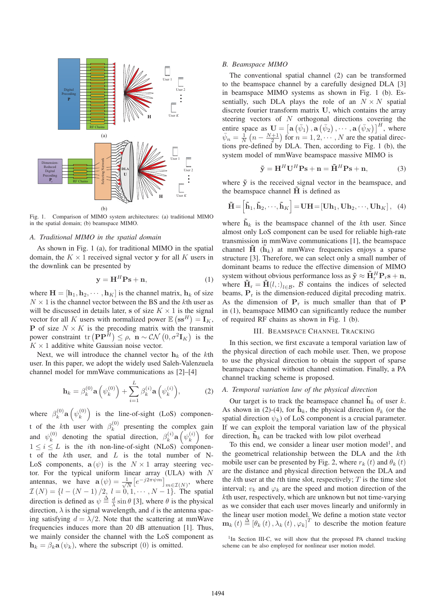

Fig. 1. Comparison of MIMO system architectures: (a) traditional MIMO in the spatial domain; (b) beamspace MIMO.

#### *A. Traditional MIMO in the spatial domain*

As shown in Fig. 1 (a), for traditional MIMO in the spatial domain, the  $K \times 1$  received signal vector y for all K users in the downlink can be presented by

$$
\mathbf{y} = \mathbf{H}^H \mathbf{P} \mathbf{s} + \mathbf{n},\tag{1}
$$

where  $\mathbf{H} = [\mathbf{h}_1, \mathbf{h}_2, \cdots, \mathbf{h}_K]$  is the channel matrix,  $\mathbf{h}_k$  of size  $N \times 1$  is the channel vector between the BS and the kth user as will be discussed in details later, **s** of size  $K \times 1$  is the signal vector for all K users with normalized power  $\mathbb{E} (\mathbf{ss}^H) = \mathbf{I}_K$ , **P** of size  $N \times K$  is the precoding matrix with the transmit power constraint  $\text{tr}(\mathbf{P}\mathbf{P}^H) \le \rho$ ,  $\mathbf{n} \sim \mathcal{CN}(0, \sigma^2 \mathbf{I}_K)$  is the  $K \times 1$  additive white Gaussian noise vector.

Next, we will introduce the channel vector  $h_k$  of the kth user. In this paper, we adopt the widely used Saleh-Valenzuela channel model for mmWave communications as [2]–[4]

$$
\mathbf{h}_{k} = \beta_{k}^{(0)} \mathbf{a}\left(\psi_{k}^{(0)}\right) + \sum_{i=1}^{L} \beta_{k}^{(i)} \mathbf{a}\left(\psi_{k}^{(i)}\right), \tag{2}
$$

where  $\beta_k^{(0)}$ **a**  $(\psi_k^{(0)})$  is the line-of-sight (LoS) component of the kth user with  $\beta_k^{(0)}$  presenting the complex gain and  $\psi_k^{(0)}$  denoting the spatial direction,  $\beta_k^{(i)}$  **a**  $(\psi_k^{(i)})$  for  $1 \leq i \leq L$  is the *i*th non-line-of-sight (NLoS) component of the  $k$ th user, and  $L$  is the total number of N-LoS components,  $\mathbf{a}(\psi)$  is the  $N \times 1$  array steering vector. For the typical uniform linear array (ULA) with  $N$ antennas, we have  $\mathbf{a}(\psi) = \frac{1}{\sqrt{N}} \left[ e^{-j2\pi \psi m} \right]_{m \in \mathcal{I}(N)}$ , where  $\mathcal{I}(N) = \{l - (N-1)/2, l = 0, 1, \cdots, N-1\}$ . The spatial direction is defined as  $\psi \stackrel{\Delta}{=} \frac{d}{\lambda} \sin \theta$  [3], where  $\theta$  is the physical direction,  $\lambda$  is the signal wavelength, and d is the antenna spacing satisfying  $d = \lambda/2$ . Note that the scattering at mmWave frequencies induces more than 20 dB attenuation [1]. Thus, we mainly consider the channel with the LoS component as  $h_k = \beta_k \mathbf{a} \left( \psi_k \right)$ , where the subscript (0) is omitted.

#### *B. Beamspace MIMO*

The conventional spatial channel (2) can be transformed to the beamspace channel by a carefully designed DLA [3] in beamspace MIMO systems as shown in Fig. 1 (b). Essentially, such DLA plays the role of an  $N \times N$  spatial discrete fourier transform matrix **U**, which contains the array steering vectors of  $N$  orthogonal directions covering the entire space as  $\mathbf{U} = \left[ \mathbf{a} \left( \bar{\psi}_1 \right), \mathbf{a} \left( \bar{\psi}_2 \right), \cdots, \mathbf{a} \left( \bar{\psi}_N \right) \right]^H$ , where  $\bar{\psi}_n = \frac{1}{N} \left( n - \frac{N+1}{2} \right)$  for  $n = 1, 2, \dots, N$  are the spatial directions pre-defined by DLA. Then, according to Fig. 1 (b), the system model of mmWave beamspace massive MIMO is

$$
\tilde{\mathbf{y}} = \mathbf{H}^H \mathbf{U}^H \mathbf{P} \mathbf{s} + \mathbf{n} = \tilde{\mathbf{H}}^H \mathbf{P} \mathbf{s} + \mathbf{n},\tag{3}
$$

where  $\tilde{v}$  is the received signal vector in the beamspace, and the beamspace channel  $\hat{H}$  is defined as

$$
\tilde{\mathbf{H}} = \left[ \tilde{\mathbf{h}}_1, \tilde{\mathbf{h}}_2, \cdots, \tilde{\mathbf{h}}_K \right] = \mathbf{U} \mathbf{H} = \left[ \mathbf{U} \mathbf{h}_1, \mathbf{U} \mathbf{h}_2, \cdots, \mathbf{U} \mathbf{h}_K \right], \tag{4}
$$

where  $\mathbf{h}_k$  is the beamspace channel of the kth user. Since almost only LoS component can be used for reliable high-rate transmission in mmWave communications [1], the beamspace channel  $\tilde{H}$  ( $\tilde{h}_k$ ) at mmWave frequencies enjoys a sparse structure [3]. Therefore, we can select only a small number of dominant beams to reduce the effective dimension of MIMO system without obvious performance loss as  $\tilde{\mathbf{y}} \approx \tilde{\mathbf{H}}_r^H \mathbf{P}_r \mathbf{s} + \mathbf{n}$ , where  $\tilde{\mathbf{H}}_{\text{r}} = \tilde{\mathbf{H}}(l, :)_{l \in \mathcal{B}}$ , B contains the indices of selected beams,  $P_r$  is the dimension-reduced digital precoding matrix. As the dimension of  $P_r$  is much smaller than that of  $P$ in (1), beamspace MIMO can significantly reduce the number of required RF chains as shown in Fig. 1 (b).

### III. BEAMSPACE CHANNEL TRACKING

In this section, we first excavate a temporal variation law of the physical direction of each mobile user. Then, we propose to use the physical direction to obtain the support of sparse beamspace channel without channel estimation. Finally, a PA channel tracking scheme is proposed.

#### *A. Temporal variation law of the physical direction*

Our target is to track the beamspace channel  $\tilde{\mathbf{h}}_k$  of user k. As shown in (2)-(4), for  $\tilde{\mathbf{h}}_k$ , the physical direction  $\theta_k$  (or the spatial direction  $\psi_k$ ) of LoS component is a crucial parameter. If we can exploit the temporal variation law of the physical direction,  $\mathbf{h}_k$  can be tracked with low pilot overhead

To this end, we consider a linear user motion model<sup>1</sup>, and the geometrical relationship between the DLA and the kth mobile user can be presented by Fig. 2, where  $r_k(t)$  and  $\theta_k(t)$ are the distance and physical direction between the DLA and the kth user at the tth time slot, respectively;  $T$  is the time slot interval;  $v_k$  and  $\varphi_k$  are the speed and motion direction of the kth user, respectively, which are unknown but not time-varying as we consider that each user moves linearly and uniformly in the linear user motion model. We define a motion state vector  $\mathbf{m}_k(t) \stackrel{\Delta}{=} [\theta_k(t), \lambda_k(t), \varphi_k]^T$  to describe the motion feature

<sup>&</sup>lt;sup>1</sup>In Section III-C, we will show that the proposed PA channel tracking scheme can be also employed for nonlinear user motion model.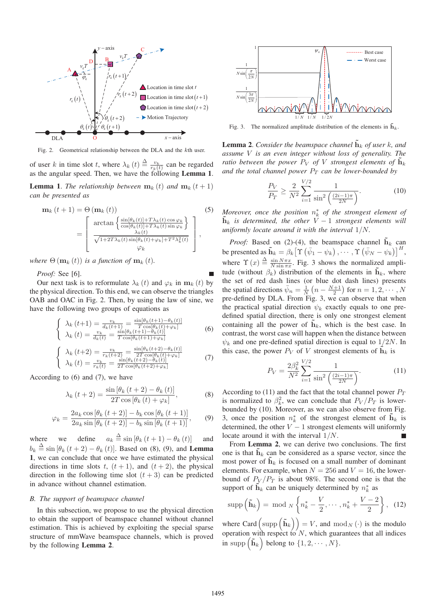

Fig. 2. Geometrical relationship between the DLA and the kth user.

of user k in time slot t, where  $\lambda_k(t) \triangleq \frac{v_k}{r_k(t)}$  can be regarded as the angular speed. Then, we have the following Lemma 1.

**Lemma 1.** *The relationship between*  $\mathbf{m}_k(t)$  *and*  $\mathbf{m}_k(t+1)$ *can be presented as*

$$
\mathbf{m}_{k}(t+1) = \Theta\left(\mathbf{m}_{k}(t)\right)
$$
\n
$$
= \begin{bmatrix}\n\arctan\left\{\frac{\sin[\theta_{k}(t)] + T\lambda_{k}(t)\cos\varphi_{k}}{\cos[\theta_{k}(t)] + T\lambda_{k}(t)\sin\varphi_{k}}\right\} \\
\frac{\lambda_{k}(t)}{\sqrt{1 + 2T\lambda_{k}(t)\sin[\theta_{k}(t) + \varphi_{k}] + T^{2}\lambda_{k}^{2}(t)}}\n\end{bmatrix},
$$
\n(5)

*where*  $\Theta(\mathbf{m}_k(t))$  *is a function of*  $\mathbf{m}_k(t)$ *.* 

*Proof:* See [6].

Our next task is to reformulate  $\lambda_k(t)$  and  $\varphi_k$  in  $\mathbf{m}_k(t)$  by the physical direction. To this end, we can observe the triangles OAB and OAC in Fig. 2. Then, by using the law of sine, we have the following two groups of equations as

$$
\begin{cases}\n\lambda_{k}\left(t+1\right) = \frac{v_{k}}{d_{k}\left(t+1\right)} = \frac{\sin[\theta_{k}\left(t+1\right) - \theta_{k}\left(t\right)]}{T\cos[\theta_{k}\left(t\right) + \varphi_{k}]}\n\lambda_{k}\left(t\right) = \frac{v_{k}}{d_{k}\left(t\right)} = \frac{\sin[\theta_{k}\left(t+1\right) - \theta_{k}\left(t\right)]}{T\cos[\theta_{k}\left(t+1\right) + \varphi_{k}]}\n\end{cases}\n\tag{6}
$$
\n
$$
\begin{cases}\n\lambda_{k}\left(t+2\right) = \frac{v_{k}}{r_{k}\left(t+2\right)} = \frac{\sin[\theta_{k}\left(t+2\right) - \theta_{k}\left(t\right)]}{2T\cos[\theta_{k}\left(t\right) + \varphi_{k}]}\n\lambda_{k}\left(t\right) = \frac{v_{k}}{r_{k}\left(t\right)} = \frac{\sin[\theta_{k}\left(t+2\right) - \theta_{k}\left(t\right)]}{2T\cos[\theta_{k}\left(t+2\right) + \varphi_{k}]}\n\end{cases}\n\tag{7}
$$

According to (6) and (7), we have

$$
\lambda_{k}\left(t+2\right) = \frac{\sin\left[\theta_{k}\left(t+2\right) - \theta_{k}\left(t\right)\right]}{2T\cos\left[\theta_{k}\left(t\right) + \varphi_{k}\right]},\tag{8}
$$

$$
\varphi_k = \frac{2a_k \cos\left[\theta_k \left(t+2\right)\right] - b_k \cos\left[\theta_k \left(t+1\right)\right]}{2a_k \sin\left[\theta_k \left(t+2\right)\right] - b_k \sin\left[\theta_k \left(t+1\right)\right]},\tag{9}
$$

where we define  $a_k \triangleq \sin \left[\theta_k \left(t+1\right) - \theta_k \left(t\right)\right]$  and  $b_k \triangleq \sin [\theta_k (t+2) - \theta_k (t)]$ . Based on (8), (9), and **Lemma** 1, we can conclude that once we have estimated the physical directions in time slots t,  $(t + 1)$ , and  $(t + 2)$ , the physical direction in the following time slot  $(t+3)$  can be predicted in advance without channel estimation.

#### *B. The support of beamspace channel*

In this subsection, we propose to use the physical direction to obtain the support of beamspace channel without channel estimation. This is achieved by exploiting the special sparse structure of mmWave beamspace channels, which is proved by the following Lemma 2.



Fig. 3. The normalized amplitude distribution of the elements in  $\tilde{\mathbf{h}}_k$ .

**Lemma 2.** *Consider the beamspace channel*  $\tilde{\mathbf{h}}_k$  *of user* k, and *assume* V *is an even integer without loss of generality. The ratio between the power*  $P_V$  *of*  $V$  *strongest elements of*  $\mathbf{h}_k$ and the total channel power  $P_T$  can be lower-bounded by

$$
\frac{P_V}{P_T} \ge \frac{2}{N^2} \sum_{i=1}^{V/2} \frac{1}{\sin^2\left(\frac{(2i-1)\pi}{2N}\right)}.\tag{10}
$$

*Moreover, once the position*  $n_k^*$  *of the strongest element of*  $\tilde{\mathbf{h}}_k$  *is determined, the other*  $\tilde{V} - 1$  *strongest elements will uniformly locate around it with the interval* 1/N*.*

*Proof:* Based on (2)-(4), the beamspace channel  $\tilde{\mathbf{h}}_k$  can be presented as  $\mathbf{\tilde{h}}_k = \beta_k \left[ \Upsilon \left( \bar{\psi}_1 - \psi_k \right), \cdots, \Upsilon \left( \bar{\psi}_N - \psi_k \right) \right]^H$ , where  $\Upsilon(x) \triangleq \frac{\sin N \pi x}{N \sin \pi x}$ . Fig. 3 shows the normalized amplitude (without  $\beta_k$ ) distribution of the elements in  $\tilde{\mathbf{h}}_k$ , where the set of red dash lines (or blue dot dash lines) presents the spatial directions  $\bar{\psi}_n = \frac{1}{N} \left( n - \frac{N+1}{2} \right)$  for  $n = 1, 2, \dots, N$ pre-defined by DLA. From Fig. 3, we can observe that when the practical spatial direction  $\psi_k$  exactly equals to one predefined spatial direction, there is only one strongest element containing all the power of  $\tilde{\mathbf{h}}_k$ , which is the best case. In contrast, the worst case will happen when the distance between  $\psi_k$  and one pre-defined spatial direction is equal to  $1/2N$ . In this case, the power  $P_V$  of V strongest elements of  $\mathbf{h}_k$  is

$$
P_V = \frac{2\beta_k^2}{N^2} \sum_{i=1}^{V/2} \frac{1}{\sin^2\left(\frac{(2i-1)\pi}{2N}\right)}.\tag{11}
$$

According to (11) and the fact that the total channel power  $P_T$ is normalized to  $\beta_k^2$ , we can conclude that  $P_V/P_T$  is lowerbounded by (10). Moreover, as we can also observe from Fig. 3, once the position  $n_k^*$  of the strongest element of  $\tilde{\mathbf{h}}_k$  is determined, the other  $V - 1$  strongest elements will uniformly locate around it with the interval 1/N.

From Lemma 2, we can derive two conclusions. The first one is that  $\mathbf{h}_k$  can be considered as a sparse vector, since the most power of  $\mathbf{h}_k$  is focused on a small number of dominant elements. For example, when  $N = 256$  and  $V = 16$ , the lowerbound of  $P_V/P_T$  is about 98%. The second one is that the support of  $\tilde{\mathbf{h}}_k$  can be uniquely determined by  $n_k^*$  as

$$
\operatorname{supp}\left(\tilde{\mathbf{h}}_{k}\right) = \operatorname{mod} N\left\{n_{k}^{*} - \frac{V}{2}, \cdots, n_{k}^{*} + \frac{V-2}{2}\right\}, \quad (12)
$$

where Card  $(\text{supp}(\tilde{\mathbf{h}}_k)) = V$ , and  $\text{mod}_N(\cdot)$  is the modulo operation with respect to  $N$ , which guarantees that all indices in supp  $(\tilde{\mathbf{h}}_k)$  belong to  $\{1, 2, \cdots, N\}$ .